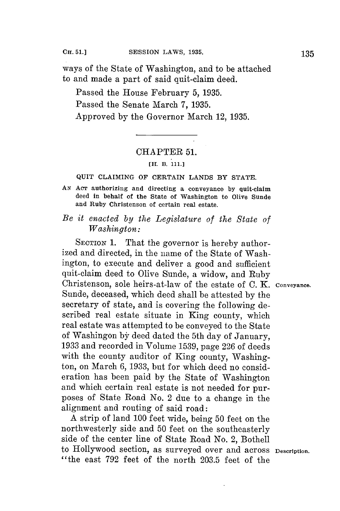ways of the State of Washington, and to be attached to and made a part of said quit-claim deed.

Passed the House February **5, 1935.** Passed the Senate March **7, 1935.** Approved **by** the Governor March 12, **1935.**

### CHAPTER 51.

## **[H. B. 111.]**

#### **QUIT CLAIMING OF CERTAIN LANDS BY STATE.**

- **AN AcT authorizing and directing a conveyance by quit-claim deed in behalf of the State of Washington to Olive Sunde and Ruby Christenson of certain real estate.**
- *Be it enacted by the Legislature of the State of Washington:*

**SECTION** 1. That the governor is hereby authorized and directed, in the name of the State of Washington, to execute and deliver a good and sufficient quit-claim deed to Olive Sunde, a widow, and Ruby Christenson, sole heirs-at-law of the estate of **C.** K. **Conveyance.** Sunde, deceased, which deed shall be attested **by** the secretary of state, and is covering the following described real estate situate in King county, which real estate was attempted to be conveyed to the State 1933 and recorded in Volume 1539, page 226 of deeds with the county auditor of King county, Washington, on March **6, 1933,** but for which deed no consideration has been paid **by** the State of Washington and which certain real estate is not needed for purposes of State Road No. 2 due to a change in the alignment and routing of said road:

**A** strip of land **100** feet wide, being **50** feet on the northwesterly side and **50** feet on the southeasterly side of the center line of State Road No. 2, Bothell to Hollywood section, as surveyed over and across **Description.** "the east **792** feet of the north **203.5** feet of the